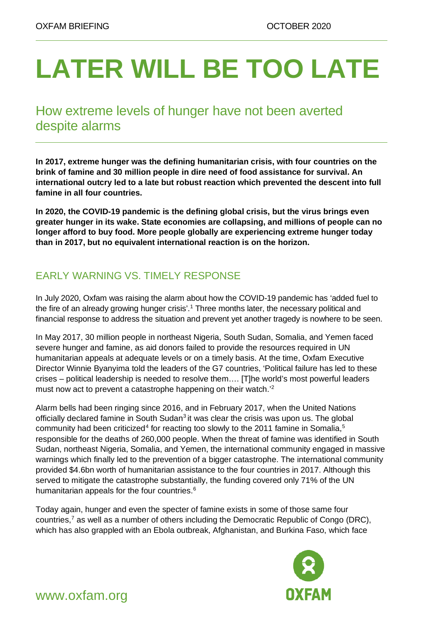# **LATER WILL BE TOO LATE**

# How extreme levels of hunger have not been averted despite alarms

**In 2017, extreme hunger was the defining humanitarian crisis, with four countries on the brink of famine and 30 million people in dire need of food assistance for survival. An international outcry led to a late but robust reaction which prevented the descent into full famine in all four countries.**

**In 2020, the COVID-19 pandemic is the defining global crisis, but the virus brings even greater hunger in its wake. State economies are collapsing, and millions of people can no longer afford to buy food. More people globally are experiencing extreme hunger today than in 2017, but no equivalent international reaction is on the horizon.**

## EARLY WARNING VS. TIMELY RESPONSE

In July 2020, Oxfam was raising the alarm about how the COVID-19 pandemic has 'added fuel to the fire of an already growing hunger crisis'. [1](#page-8-0) Three months later, the necessary political and financial response to address the situation and prevent yet another tragedy is nowhere to be seen.

In May 2017, 30 million people in northeast Nigeria, South Sudan, Somalia, and Yemen faced severe hunger and famine, as aid donors failed to provide the resources required in UN humanitarian appeals at adequate levels or on a timely basis. At the time, Oxfam Executive Director Winnie Byanyima told the leaders of the G7 countries, 'Political failure has led to these crises – political leadership is needed to resolve them…. [T]he world's most powerful leaders must now act to prevent a catastrophe happening on their watch.<sup>1[2](#page-8-1)</sup>

Alarm bells had been ringing since 2016, and in February 2017, when the United Nations officially declared famine in South Sudan<sup>3</sup> it was clear the crisis was upon us. The global community had been criticized<sup>[4](#page-8-3)</sup> for reacting too slowly to the 2011 famine in Somalia,<sup>[5](#page-8-4)</sup> responsible for the deaths of 260,000 people. When the threat of famine was identified in South Sudan, northeast Nigeria, Somalia, and Yemen, the international community engaged in massive warnings which finally led to the prevention of a bigger catastrophe. The international community provided \$4.6bn worth of humanitarian assistance to the four countries in 2017. Although this served to mitigate the catastrophe substantially, the funding covered only 71% of the UN humanitarian appeals for the four countries.<sup>[6](#page-8-5)</sup>

Today again, hunger and even the specter of famine exists in some of those same four countries, $<sup>7</sup>$  as well as a number of others including the Democratic Republic of Congo (DRC),</sup> which has also grappled with an Ebola outbreak, Afghanistan, and Burkina Faso, which face



www.oxfam.org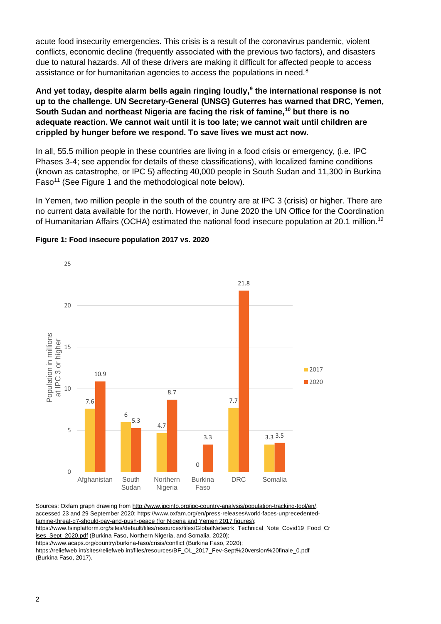acute food insecurity emergencies. This crisis is a result of the coronavirus pandemic, violent conflicts, economic decline (frequently associated with the previous two factors), and disasters due to natural hazards. All of these drivers are making it difficult for affected people to access assistance or for humanitarian agencies to access the populations in need.<sup>[8](#page-8-7)</sup>

**And yet today, despite alarm bells again ringing loudly, [9](#page-8-8) the international response is not up to the challenge. UN Secretary-General (UNSG) Guterres has warned that DRC, Yemen, South Sudan and northeast Nigeria are facing the risk of famine, [10](#page-8-9) but there is no adequate reaction. We cannot wait until it is too late; we cannot wait until children are crippled by hunger before we respond. To save lives we must act now.**

In all, 55.5 million people in these countries are living in a food crisis or emergency, (i.e. IPC Phases 3-4; see appendix for details of these classifications), with localized famine conditions (known as catastrophe, or IPC 5) affecting 40,000 people in South Sudan and 11,300 in Burkina Faso<sup>[11](#page-8-10)</sup> (See Figure 1 and the methodological note below).

In Yemen, two million people in the south of the country are at IPC 3 (crisis) or higher. There are no current data available for the north. However, in June 2020 the UN Office for the Coordination of Humanitarian Affairs (OCHA) estimated the national food insecure population at 20.1 million.<sup>[12](#page-8-11)</sup>



#### **Figure 1: Food insecure population 2017 vs. 2020**

Sources: Oxfam graph drawing from [http://www.ipcinfo.org/ipc-country-analysis/population-tracking-tool/en/,](http://www.ipcinfo.org/ipc-country-analysis/population-tracking-tool/en/) accessed 23 and 29 September 2020[; https://www.oxfam.org/en/press-releases/world-faces-unprecedented](https://www.oxfam.org/en/press-releases/world-faces-unprecedented-famine-threat-g7-should-pay-and-push-peace)[famine-threat-g7-should-pay-and-push-peace](https://www.oxfam.org/en/press-releases/world-faces-unprecedented-famine-threat-g7-should-pay-and-push-peace) (for Nigeria and Yemen 2017 figures); [https://www.fsinplatform.org/sites/default/files/resources/files/GlobalNetwork\\_Technical\\_Note\\_Covid19\\_Food\\_Cr](https://www.fsinplatform.org/sites/default/files/resources/files/GlobalNetwork_Technical_Note_Covid19_Food_Crises_Sept_2020.pdf) [ises\\_Sept\\_2020.pdf](https://www.fsinplatform.org/sites/default/files/resources/files/GlobalNetwork_Technical_Note_Covid19_Food_Crises_Sept_2020.pdf) (Burkina Faso, Northern Nigeria, and Somalia, 2020); <https://www.acaps.org/country/burkina-faso/crisis/conflict> (Burkina Faso, 2020); [https://reliefweb.int/sites/reliefweb.int/files/resources/BF\\_OL\\_2017\\_Fev-Sept%20version%20finale\\_0.pdf](https://reliefweb.int/sites/reliefweb.int/files/resources/BF_OL_2017_Fev-Sept%20version%20finale_0.pdf) (Burkina Faso, 2017).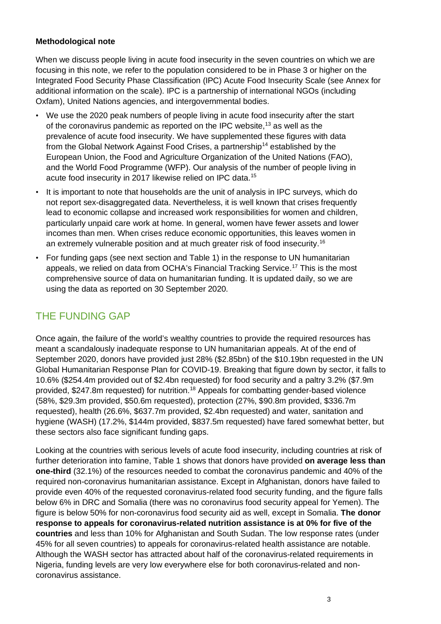#### **Methodological note**

When we discuss people living in acute food insecurity in the seven countries on which we are focusing in this note, we refer to the population considered to be in Phase 3 or higher on the Integrated Food Security Phase Classification (IPC) Acute Food Insecurity Scale (see Annex for additional information on the scale). IPC is a partnership of international NGOs (including Oxfam), United Nations agencies, and intergovernmental bodies.

- We use the 2020 peak numbers of people living in acute food insecurity after the start of the coronavirus pandemic as reported on the IPC website,<sup>[13](#page-8-12)</sup> as well as the prevalence of acute food insecurity. We have supplemented these figures with data from the Global Network Against Food Crises, a partnership<sup>[14](#page-8-13)</sup> established by the European Union, the Food and Agriculture Organization of the United Nations (FAO), and the World Food Programme (WFP). Our analysis of the number of people living in acute food insecurity in 2017 likewise relied on IPC data. [15](#page-8-14)
- It is important to note that households are the unit of analysis in IPC surveys, which do not report sex-disaggregated data. Nevertheless, it is well known that crises frequently lead to economic collapse and increased work responsibilities for women and children, particularly unpaid care work at home. In general, women have fewer assets and lower incomes than men. When crises reduce economic opportunities, this leaves women in an extremely vulnerable position and at much greater risk of food insecurity. [16](#page-8-15)
- For funding gaps (see next section and Table 1) in the response to UN humanitarian appeals, we relied on data from OCHA's Financial Tracking Service. [17](#page-8-16) This is the most comprehensive source of data on humanitarian funding. It is updated daily, so we are using the data as reported on 30 September 2020.

#### THE FUNDING GAP

Once again, the failure of the world's wealthy countries to provide the required resources has meant a scandalously inadequate response to UN humanitarian appeals. At of the end of September 2020, donors have provided just 28% (\$2.85bn) of the \$10.19bn requested in the UN Global Humanitarian Response Plan for COVID-19. Breaking that figure down by sector, it falls to 10.6% (\$254.4m provided out of \$2.4bn requested) for food security and a paltry 3.2% (\$7.9m provided, \$247.8m requested) for nutrition. [18](#page-8-17) Appeals for combatting gender-based violence (58%, \$29.3m provided, \$50.6m requested), protection (27%, \$90.8m provided, \$336.7m requested), health (26.6%, \$637.7m provided, \$2.4bn requested) and water, sanitation and hygiene (WASH) (17.2%, \$144m provided, \$837.5m requested) have fared somewhat better, but these sectors also face significant funding gaps.

Looking at the countries with serious levels of acute food insecurity, including countries at risk of further deterioration into famine, Table 1 shows that donors have provided **on average less than one-third** (32.1%) of the resources needed to combat the coronavirus pandemic and 40% of the required non-coronavirus humanitarian assistance. Except in Afghanistan, donors have failed to provide even 40% of the requested coronavirus-related food security funding, and the figure falls below 6% in DRC and Somalia (there was no coronavirus food security appeal for Yemen). The figure is below 50% for non-coronavirus food security aid as well, except in Somalia. **The donor response to appeals for coronavirus-related nutrition assistance is at 0% for five of the countries** and less than 10% for Afghanistan and South Sudan. The low response rates (under 45% for all seven countries) to appeals for coronavirus-related health assistance are notable. Although the WASH sector has attracted about half of the coronavirus-related requirements in Nigeria, funding levels are very low everywhere else for both coronavirus-related and noncoronavirus assistance.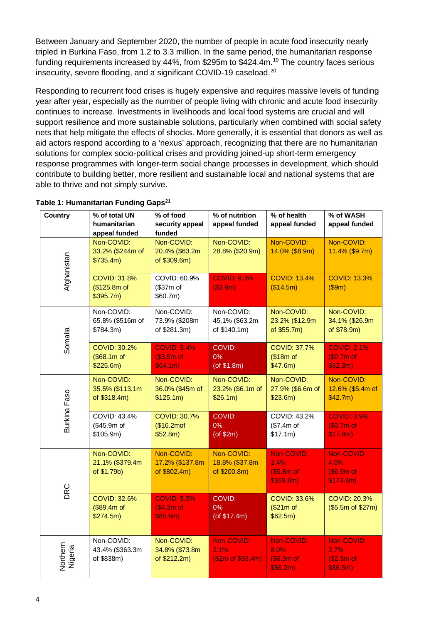Between January and September 2020, the number of people in acute food insecurity nearly tripled in Burkina Faso, from 1.2 to 3.3 million. In the same period, the humanitarian response funding requirements increased by 44%, from \$295m to \$424.4m.<sup>[19](#page-8-18)</sup> The country faces serious insecurity, severe flooding, and a significant COVID-19 caseload. [20](#page-8-19)

Responding to recurrent food crises is hugely expensive and requires massive levels of funding year after year, especially as the number of people living with chronic and acute food insecurity continues to increase. Investments in livelihoods and local food systems are crucial and will support resilience and more sustainable solutions, particularly when combined with social safety nets that help mitigate the effects of shocks. More generally, it is essential that donors as well as aid actors respond according to a 'nexus' approach, recognizing that there are no humanitarian solutions for complex socio-political crises and providing joined-up short-term emergency response programmes with longer-term social change processes in development, which should contribute to building better, more resilient and sustainable local and national systems that are able to thrive and not simply survive.

| <b>Country</b>             | % of total UN<br>humanitarian<br>appeal funded   | % of food<br>security appeal<br>funded        | % of nutrition<br>appeal funded              | % of health<br>appeal funded                  | % of WASH<br>appeal funded                    |
|----------------------------|--------------------------------------------------|-----------------------------------------------|----------------------------------------------|-----------------------------------------------|-----------------------------------------------|
| Afghanistan                | Non-COVID:<br>33.2% (\$244m of<br>\$735.4m)      | Non-COVID:<br>20.4% (\$63.2m<br>of \$309.6m)  | Non-COVID:<br>28.8% (\$20.9m)                | Non-COVID:<br>14.0% (\$8.9m)                  | Non-COVID:<br>11.4% (\$9.7m)                  |
|                            | <b>COVID: 31.8%</b><br>(\$125.8m of<br>\$395.7m) | COVID: 60.9%<br>(\$37m of<br>\$60.7m\$        | <b>COVID: 9.3%</b><br>$($ \$3.9m $)$         | <b>COVID: 13.4%</b><br>(\$14.5m)              | <b>COVID: 13.3%</b><br>(\$9m)                 |
| Somalia                    | Non-COVID:<br>65.8% (\$516m of<br>\$784.3m)      | Non-COVID:<br>73.9% (\$208m<br>of \$281.3m)   | Non-COVID:<br>45.1% (\$63.2m<br>of \$140.1m) | Non-COVID:<br>23.2% (\$12.9m<br>of \$55.7m)   | Non-COVID:<br>34.1% (\$26.9m<br>of \$78.9m)   |
|                            | <b>COVID: 30.2%</b><br>(\$68.1m of<br>\$225.6m)  | <b>COVID: 5.4%</b><br>(\$3.5m of<br>\$64.1m\$ | COVID:<br>0%<br>$($ of \$1.8m $)$            | <b>COVID: 37.7%</b><br>(\$18m of<br>\$47.6m)  | <b>COVID: 2.1%</b><br>(\$0.7m of<br>\$32.3m)  |
| Burkina Faso               | Non-COVID:<br>35.5% (\$113.1m<br>of \$318.4m)    | Non-COVID:<br>36.0% (\$45m of<br>\$125.1m)    | Non-COVID:<br>23.2% (\$6.1m of<br>\$26.1m)   | Non-COVID:<br>27.9% (\$6.6m of<br>\$23.6m)    | Non-COVID:<br>12.6% (\$5.4m of<br>\$42.7m)    |
|                            | COVID: 43.4%<br>(\$45.9m of<br>\$105.9m)         | <b>COVID: 30.7%</b><br>(\$16.2mof<br>\$52.8m) | <b>COVID:</b><br>0%<br>$($ of \$2m $)$       | COVID: 43.2%<br>(\$7.4m of<br>\$17.1m)        | <b>COVID: 3.9%</b><br>(\$0.7m of<br>\$17.8m)  |
| DRC                        | Non-COVID:<br>21.1% (\$379.4m<br>of \$1.79b)     | Non-COVID:<br>17.2% (\$137.8m<br>of \$802.4m) | Non-COVID:<br>18.8% (\$37.8m<br>of \$200.8m) | Non-COVID:<br>3.4%<br>(\$5.8m of<br>\$169.6m) | Non-COVID:<br>4.0%<br>(\$6.9m of<br>\$174.6m) |
|                            | <b>COVID: 32.6%</b><br>(\$89.4m of<br>\$274.5m)  | <b>COVID: 5.0%</b><br>(\$4.3m of<br>\$85.6m)  | COVID:<br>0%<br>(of \$17.4m)                 | <b>COVID: 33.6%</b><br>(\$21m of<br>\$62.5m)  | <b>COVID: 20.3%</b><br>(\$5.5m of \$27m)      |
| <b>Northern</b><br>Nigeria | Non-COVID:<br>43.4% (\$363.3m<br>of \$838m)      | Non-COVID:<br>34.8% (\$73.8m<br>of \$212.2m)  | Non-COVID:<br>2.1%<br>(\$2m of \$93.4m)      | Non-COVID:<br>8.0%<br>(\$6.9m of<br>\$86.2m\$ | Non-COVID:<br>2.7%<br>(\$2.3m of<br>\$86.5m\$ |

#### **Table 1: Humanitarian Funding Gaps<sup>21</sup>**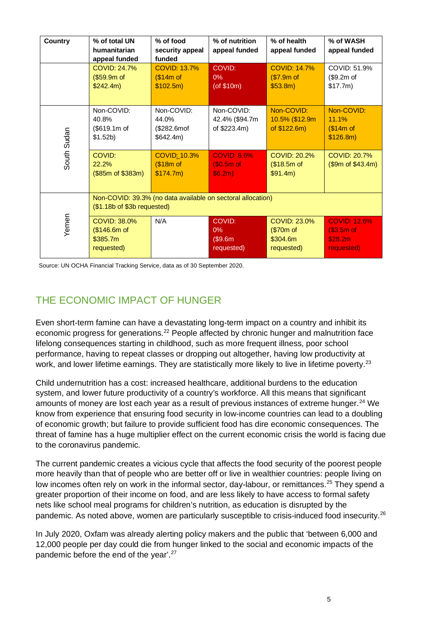| <b>Country</b> | % of total UN<br>humanitarian<br>appeal funded                                             | % of food<br>security appeal<br>funded           | % of nutrition<br>appeal funded                 | % of health<br>appeal funded                               | % of WASH<br>appeal funded                                   |  |
|----------------|--------------------------------------------------------------------------------------------|--------------------------------------------------|-------------------------------------------------|------------------------------------------------------------|--------------------------------------------------------------|--|
|                | <b>COVID: 24.7%</b><br>(\$59.9m of<br>\$242.4m)                                            | <b>COVID: 13.7%</b><br>(\$14m of<br>\$102.5m\$   | <b>COVID:</b><br>$0\%$<br>(of $$10m$ )          | <b>COVID: 14.7%</b><br>(\$7.9m of<br>\$53.8m)              | COVID: 51.9%<br>(\$9.2m of<br>\$17.7m)                       |  |
| South Sudan    | Non-COVID:<br>40.8%<br>(\$619.1m of<br>\$1.52b)                                            | Non-COVID:<br>44.0%<br>(\$282.6mof<br>\$642.4m\$ | Non-COVID:<br>42.4% (\$94.7m<br>of \$223.4m)    | Non-COVID:<br>10.5% (\$12.9m<br>of $$122.6m)$              | Non-COVID:<br>11.1%<br>(\$14m of<br>\$126.8m)                |  |
|                | COVID:<br>22.2%<br>(\$85m of \$383m)                                                       | COVID: 10.3%<br>(\$18m of<br>\$174.7m\$          | <b>COVID: 8.6%</b><br>$$0.5m$ of<br>\$6.2m\$    | COVID: 20.2%<br>(\$18.5m of<br>\$91.4m)                    | <b>COVID: 20.7%</b><br>(\$9m of \$43.4m)                     |  |
| Yemen          | Non-COVID: 39.3% (no data available on sectoral allocation)<br>(\$1.18b of \$3b requested) |                                                  |                                                 |                                                            |                                                              |  |
|                | <b>COVID: 38.0%</b><br>(\$146.6m of<br>\$385.7m<br>requested)                              | N/A                                              | <b>COVID:</b><br>$0\%$<br>(\$9.6m<br>requested) | <b>COVID: 23.0%</b><br>(\$70m of<br>\$304.6m<br>requested) | <b>COVID: 12.6%</b><br>$(S3.5m)$ of<br>\$28.2m<br>requested) |  |

Source: UN OCHA Financial Tracking Service, data as of 30 September 2020.

## THE ECONOMIC IMPACT OF HUNGER

Even short-term famine can have a devastating long-term impact on a country and inhibit its economic progress for generations.<sup>[22](#page-8-21)</sup> People affected by chronic hunger and malnutrition face lifelong consequences starting in childhood, such as more frequent illness, poor school performance, having to repeat classes or dropping out altogether, having low productivity at work, and lower lifetime earnings. They are statistically more likely to live in lifetime poverty.<sup>[23](#page-8-22)</sup>

Child undernutrition has a cost: increased healthcare, additional burdens to the education system, and lower future productivity of a country's workforce. All this means that significant amounts of money are lost each year as a result of previous instances of extreme hunger. [24](#page-8-23) We know from experience that ensuring food security in low-income countries can lead to a doubling of economic growth; but failure to provide sufficient food has dire economic consequences. The threat of famine has a huge multiplier effect on the current economic crisis the world is facing due to the coronavirus pandemic.

The current pandemic creates a vicious cycle that affects the food security of the poorest people more heavily than that of people who are better off or live in wealthier countries: people living on low incomes often rely on work in the informal sector, day-labour, or remittances.<sup>[25](#page-8-24)</sup> They spend a greater proportion of their income on food, and are less likely to have access to formal safety nets like school meal programs for children's nutrition, as education is disrupted by the pandemic. As noted above, women are particularly susceptible to crisis-induced food insecurity.<sup>[26](#page-8-25)</sup>

In July 2020, Oxfam was already alerting policy makers and the public that 'between 6,000 and 12,000 people per day could die from hunger linked to the social and economic impacts of the pandemic before the end of the year'.<sup>[27](#page-8-26)</sup>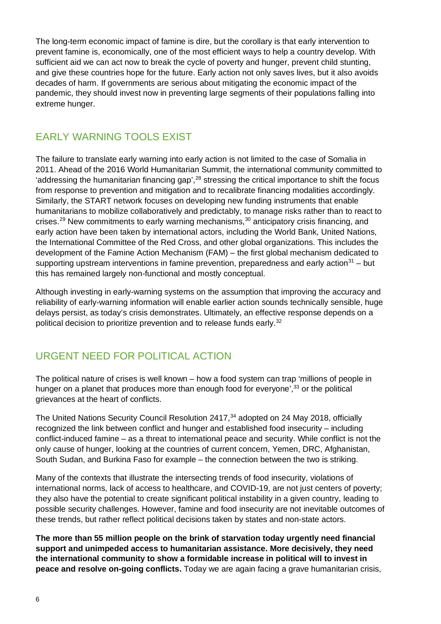The long-term economic impact of famine is dire, but the corollary is that early intervention to prevent famine is, economically, one of the most efficient ways to help a country develop. With sufficient aid we can act now to break the cycle of poverty and hunger, prevent child stunting, and give these countries hope for the future. Early action not only saves lives, but it also avoids decades of harm. If governments are serious about mitigating the economic impact of the pandemic, they should invest now in preventing large segments of their populations falling into extreme hunger.

## EARLY WARNING TOOLS EXIST

The failure to translate early warning into early action is not limited to the case of Somalia in 2011. Ahead of the 2016 World Humanitarian Summit, the international community committed to 'addressing the humanitarian financing gap',<sup>[28](#page-8-27)</sup> stressing the critical importance to shift the focus from response to prevention and mitigation and to recalibrate financing modalities accordingly. Similarly, the START network focuses on developing new funding instruments that enable humanitarians to mobilize collaboratively and predictably, to manage risks rather than to react to crises.<sup>[29](#page-8-28)</sup> New commitments to early warning mechanisms,<sup>[30](#page-8-29)</sup> anticipatory crisis financing, and early action have been taken by international actors, including the World Bank, United Nations, the International Committee of the Red Cross, and other global organizations. This includes the development of the Famine Action Mechanism (FAM) – the first global mechanism dedicated to supporting upstream interventions in famine prevention, preparedness and early action<sup>31</sup> – but this has remained largely non-functional and mostly conceptual.

Although investing in early-warning systems on the assumption that improving the accuracy and reliability of early-warning information will enable earlier action sounds technically sensible, huge delays persist, as today's crisis demonstrates. Ultimately, an effective response depends on a political decision to prioritize prevention and to release funds early. [32](#page-8-31)

## URGENT NEED FOR POLITICAL ACTION

The political nature of crises is well known – how a food system can trap 'millions of people in hunger on a planet that produces more than enough food for everyone',<sup>[33](#page-8-32)</sup> or the political grievances at the heart of conflicts.

The United Nations Security Council Resolution 2417, [34](#page-8-33) adopted on 24 May 2018, officially recognized the link between conflict and hunger and established food insecurity – including conflict-induced famine – as a threat to international peace and security. While conflict is not the only cause of hunger, looking at the countries of current concern, Yemen, DRC, Afghanistan, South Sudan, and Burkina Faso for example – the connection between the two is striking.

Many of the contexts that illustrate the intersecting trends of food insecurity, violations of international norms, lack of access to healthcare, and COVID-19, are not just centers of poverty; they also have the potential to create significant political instability in a given country, leading to possible security challenges. However, famine and food insecurity are not inevitable outcomes of these trends, but rather reflect political decisions taken by states and non-state actors.

**The more than 55 million people on the brink of starvation today urgently need financial support and unimpeded access to humanitarian assistance. More decisively, they need the international community to show a formidable increase in political will to invest in peace and resolve on-going conflicts.** Today we are again facing a grave humanitarian crisis,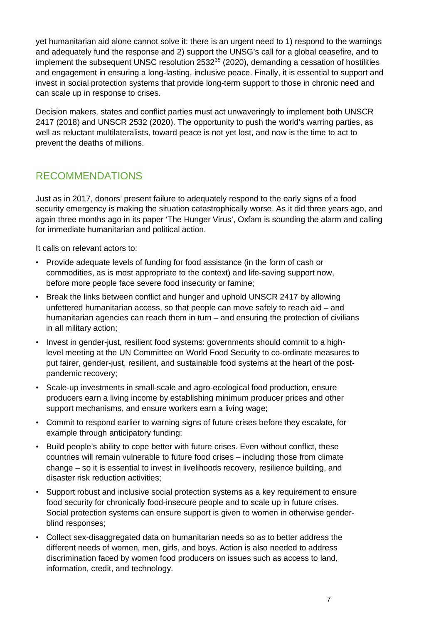yet humanitarian aid alone cannot solve it: there is an urgent need to 1) respond to the warnings and adequately fund the response and 2) support the UNSG's call for a global ceasefire, and to implement the subsequent UNSC resolution  $2532^{35}$  $2532^{35}$  $2532^{35}$  (2020), demanding a cessation of hostilities and engagement in ensuring a long-lasting, inclusive peace. Finally, it is essential to support and invest in social protection systems that provide long-term support to those in chronic need and can scale up in response to crises.

Decision makers, states and conflict parties must act unwaveringly to implement both UNSCR 2417 (2018) and UNSCR 2532 (2020). The opportunity to push the world's warring parties, as well as reluctant multilateralists, toward peace is not yet lost, and now is the time to act to prevent the deaths of millions.

#### RECOMMENDATIONS

Just as in 2017, donors' present failure to adequately respond to the early signs of a food security emergency is making the situation catastrophically worse. As it did three years ago, and again three months ago in its paper 'The Hunger Virus', Oxfam is sounding the alarm and calling for immediate humanitarian and political action.

It calls on relevant actors to:

- Provide adequate levels of funding for food assistance (in the form of cash or commodities, as is most appropriate to the context) and life-saving support now, before more people face severe food insecurity or famine;
- Break the links between conflict and hunger and uphold UNSCR 2417 by allowing unfettered humanitarian access, so that people can move safely to reach aid – and humanitarian agencies can reach them in turn – and ensuring the protection of civilians in all military action;
- Invest in gender-just, resilient food systems: governments should commit to a highlevel meeting at the UN Committee on World Food Security to co-ordinate measures to put fairer, gender-just, resilient, and sustainable food systems at the heart of the postpandemic recovery;
- Scale-up investments in small-scale and agro-ecological food production, ensure producers earn a living income by establishing minimum producer prices and other support mechanisms, and ensure workers earn a living wage;
- Commit to respond earlier to warning signs of future crises before they escalate, for example through anticipatory funding;
- Build people's ability to cope better with future crises. Even without conflict, these countries will remain vulnerable to future food crises – including those from climate change – so it is essential to invest in livelihoods recovery, resilience building, and disaster risk reduction activities;
- Support robust and inclusive social protection systems as a key requirement to ensure food security for chronically food-insecure people and to scale up in future crises. Social protection systems can ensure support is given to women in otherwise genderblind responses;
- Collect sex-disaggregated data on humanitarian needs so as to better address the different needs of women, men, girls, and boys. Action is also needed to address discrimination faced by women food producers on issues such as access to land, information, credit, and technology.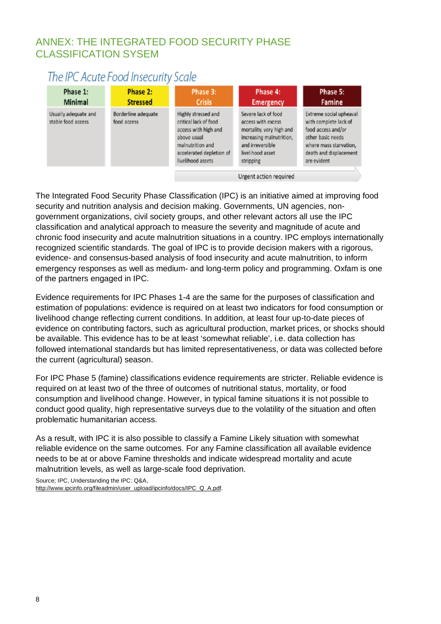#### ANNEX: THE INTEGRATED FOOD SECURITY PHASE CLASSIFICATION SYSEM

# The IPC Acute Food Insecurity Scale

| Phase 1:<br>Minimal                        | Phase 2:<br><b>Stressed</b>        | Phase 3:<br><b>Crisis</b>                                                                                                                                | Phase 4:<br><b>Emergency</b>                                                                                                                           | Phase 5:<br>Famine                                                                                                                                             |  |
|--------------------------------------------|------------------------------------|----------------------------------------------------------------------------------------------------------------------------------------------------------|--------------------------------------------------------------------------------------------------------------------------------------------------------|----------------------------------------------------------------------------------------------------------------------------------------------------------------|--|
| Usually adequate and<br>stable food access | Borderline adequate<br>food access | Highly stressed and<br>critical lack of food<br>access with high and<br>above usual<br>malnutrition and<br>accelerated depletion of<br>livelihood assets | Severe lack of food<br>access with excess<br>mortality, very high and<br>increasing malnutrition,<br>and irreversible<br>livelihood asset<br>stripping | Extreme social upheaval<br>with complete lack of<br>food access and/or<br>other basic needs<br>where mass starvation.<br>death and displacement<br>are evident |  |
|                                            |                                    | Urgent action required                                                                                                                                   |                                                                                                                                                        |                                                                                                                                                                |  |

The Integrated Food Security Phase Classification (IPC) is an initiative aimed at improving food security and nutrition analysis and decision making. Governments, UN agencies, nongovernment organizations, civil society groups, and other relevant actors all use the IPC classification and analytical approach to measure the severity and magnitude of acute and chronic food insecurity and acute malnutrition situations in a country. IPC employs internationally recognized scientific standards. The goal of IPC is to provide decision makers with a rigorous, evidence- and consensus-based analysis of food insecurity and acute malnutrition, to inform emergency responses as well as medium- and long-term policy and programming. Oxfam is one of the partners engaged in IPC.

Evidence requirements for IPC Phases 1-4 are the same for the purposes of classification and estimation of populations: evidence is required on at least two indicators for food consumption or livelihood change reflecting current conditions. In addition, at least four up-to-date pieces of evidence on contributing factors, such as agricultural production, market prices, or shocks should be available. This evidence has to be at least 'somewhat reliable', i.e. data collection has followed international standards but has limited representativeness, or data was collected before the current (agricultural) season.

For IPC Phase 5 (famine) classifications evidence requirements are stricter. Reliable evidence is required on at least two of the three of outcomes of nutritional status, mortality, or food consumption and livelihood change. However, in typical famine situations it is not possible to conduct good quality, high representative surveys due to the volatility of the situation and often problematic humanitarian access.

As a result, with IPC it is also possible to classify a Famine Likely situation with somewhat reliable evidence on the same outcomes. For any Famine classification all available evidence needs to be at or above Famine thresholds and indicate widespread mortality and acute malnutrition levels, as well as large-scale food deprivation.

Source; IPC, Understanding the IPC: Q&A,

[http://www.ipcinfo.org/fileadmin/user\\_upload/ipcinfo/docs/IPC\\_Q\\_A.pdf.](http://www.ipcinfo.org/fileadmin/user_upload/ipcinfo/docs/IPC_Q_A.pdf)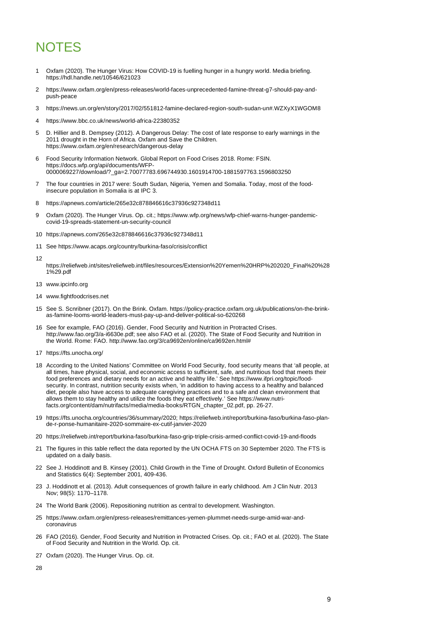# <span id="page-8-27"></span>**NOTES**

- <span id="page-8-29"></span><span id="page-8-28"></span><span id="page-8-0"></span>1 Oxfam (2020). The Hunger Virus: How COVID-19 is fuelling hunger in a hungry world. Media briefing. https://hdl.handle.net/10546/621023
- <span id="page-8-30"></span><span id="page-8-1"></span>2 [https://www.oxfam.org/en/press-releases/world-faces-unprecedented-famine-threat-g7-should-pay-and](https://www.oxfam.org/en/press-releases/world-faces-unprecedented-famine-threat-g7-should-pay-and-push-peace)[push-peace](https://www.oxfam.org/en/press-releases/world-faces-unprecedented-famine-threat-g7-should-pay-and-push-peace)
- <span id="page-8-31"></span><span id="page-8-2"></span>3 <https://news.un.org/en/story/2017/02/551812-famine-declared-region-south-sudan-un#.WZXyX1WGOM8>
- <span id="page-8-3"></span>4 <https://www.bbc.co.uk/news/world-africa-22380352>
- <span id="page-8-32"></span><span id="page-8-4"></span>5 D. Hillier and B. Dempsey (2012). A Dangerous Delay: The cost of late response to early warnings in the 2011 drought in the Horn of Africa. Oxfam and Save the Children. <https://www.oxfam.org/en/research/dangerous-delay>
- <span id="page-8-33"></span><span id="page-8-5"></span>6 Food Security Information Network. Global Report on Food Crises 2018. Rome: FSIN. [https://docs.wfp.org/api/documents/WFP-](https://docs.wfp.org/api/documents/WFP-0000069227/download/?_ga=2.70077783.696744930.1601914700-1881597763.1596803250)[0000069227/download/?\\_ga=2.70077783.696744930.1601914700-1881597763.1596803250](https://docs.wfp.org/api/documents/WFP-0000069227/download/?_ga=2.70077783.696744930.1601914700-1881597763.1596803250)
- <span id="page-8-6"></span>7 The four countries in 2017 were: South Sudan, Nigeria, Yemen and Somalia. Today, most of the foodinsecure population in Somalia is at IPC 3.
- <span id="page-8-7"></span>8 <https://apnews.com/article/265e32c878846616c37936c927348d11>
- <span id="page-8-8"></span>9 Oxfam (2020). The Hunger Virus. Op. cit.[; https://www.wfp.org/news/wfp-chief-warns-hunger-pandemic](https://www.wfp.org/news/wfp-chief-warns-hunger-pandemic-covid-19-spreads-statement-un-security-council)[covid-19-spreads-statement-un-security-council](https://www.wfp.org/news/wfp-chief-warns-hunger-pandemic-covid-19-spreads-statement-un-security-council)
- <span id="page-8-9"></span>10 <https://apnews.com/265e32c878846616c37936c927348d11>
- <span id="page-8-10"></span>11 See<https://www.acaps.org/country/burkina-faso/crisis/conflict>
- [https://reliefweb.int/sites/reliefweb.int/files/resources/Extension%20Yemen%20HRP%202020\\_Final%20%28](https://reliefweb.int/sites/reliefweb.int/files/resources/Extension%20Yemen%20HRP%202020_Final%20%281%29.pdf) [1%29.pdf](https://reliefweb.int/sites/reliefweb.int/files/resources/Extension%20Yemen%20HRP%202020_Final%20%281%29.pdf)
- <span id="page-8-12"></span>13 [www.ipcinfo.org](http://www.ipcinfo.org/)

<span id="page-8-11"></span>12

- <span id="page-8-13"></span>14 [www.fightfoodcrises.net](http://www.fightfoodcrises.net/)
- <span id="page-8-14"></span>15 See S. Scnribner (2017). On the Brink. Oxfam[. https://policy-practice.oxfam.org.uk/publications/on-the-brink](https://policy-practice.oxfam.org.uk/publications/on-the-brink-as-famine-looms-world-leaders-must-pay-up-and-deliver-political-so-620268)[as-famine-looms-world-leaders-must-pay-up-and-deliver-political-so-620268](https://policy-practice.oxfam.org.uk/publications/on-the-brink-as-famine-looms-world-leaders-must-pay-up-and-deliver-political-so-620268)
- <span id="page-8-15"></span>16 See for example, FAO (2016). Gender, Food Security and Nutrition in Protracted Crises. [http://www.fao.org/3/a-i6630e.pdf;](http://www.fao.org/3/a-i6630e.pdf) see also FAO et al. (2020). The State of Food Security and Nutrition in the World. Rome: FAO. [http://www.fao.org/3/ca9692en/online/ca9692en.html#](http://www.fao.org/3/ca9692en/online/ca9692en.html)
- <span id="page-8-16"></span>17 <https://fts.unocha.org/>
- <span id="page-8-17"></span>18 According to the United Nations' Committee on World Food Security, food security means that 'all people, at all times, have physical, social, and economic access to sufficient, safe, and nutritious food that meets their food preferences and dietary needs for an active and healthy life.' See [https://www.ifpri.org/topic/food](https://www.ifpri.org/topic/food-security)[security.](https://www.ifpri.org/topic/food-security) In contrast, nutrition security exists when, 'in addition to having access to a healthy and balanced diet, people also have access to adequate caregiving practices and to a safe and clean environment that allows them to stay healthy and utilize the foods they eat effectively.' See [https://www.nutri](https://www.nutri-facts.org/content/dam/nutrifacts/media/media-books/RTGN_chapter_02.pdf)[facts.org/content/dam/nutrifacts/media/media-books/RTGN\\_chapter\\_02.pdf,](https://www.nutri-facts.org/content/dam/nutrifacts/media/media-books/RTGN_chapter_02.pdf) pp. 26-27.
- <span id="page-8-18"></span>19 https://fts.unocha.org/countries/36/summary/2020[; https://reliefweb.int/report/burkina-faso/burkina-faso-plan](https://reliefweb.int/report/burkina-faso/burkina-faso-plan-de-r-ponse-humanitaire-2020-sommaire-ex-cutif-janvier-2020)[de-r-ponse-humanitaire-2020-sommaire-ex-cutif-janvier-2020](https://reliefweb.int/report/burkina-faso/burkina-faso-plan-de-r-ponse-humanitaire-2020-sommaire-ex-cutif-janvier-2020)
- <span id="page-8-19"></span>20 <https://reliefweb.int/report/burkina-faso/burkina-faso-grip-triple-crisis-armed-conflict-covid-19-and-floods>
- <span id="page-8-20"></span>21 The figures in this table reflect the data reported by the UN OCHA FTS on 30 September 2020. The FTS is updated on a daily basis.
- <span id="page-8-21"></span>22 See J. Hoddinott and B. Kinsey (2001). Child Growth in the Time of Drought. Oxford Bulletin of Economics and Statistics 6(4): September 2001, 409-436.
- <span id="page-8-22"></span>23 J. Hoddinott et al. (2013). Adult consequences of growth failure in early childhood. Am J Clin Nutr. 2013 Nov; 98(5): 1170-1178.
- <span id="page-8-23"></span>24 The World Bank (2006). Repositioning nutrition as central to development. Washington.
- <span id="page-8-24"></span>25 [https://www.oxfam.org/en/press-releases/remittances-yemen-plummet-needs-surge-amid-war-and](https://www.oxfam.org/en/press-releases/remittances-yemen-plummet-needs-surge-amid-war-and-coronavirus)[coronavirus](https://www.oxfam.org/en/press-releases/remittances-yemen-plummet-needs-surge-amid-war-and-coronavirus)
- <span id="page-8-25"></span>26 FAO (2016). Gender, Food Security and Nutrition in Protracted Crises. Op. cit.; FAO et al. (2020). The State of Food Security and Nutrition in the World. Op. cit.
- <span id="page-8-26"></span>27 Oxfam (2020). The Hunger Virus. Op. cit.
- 28